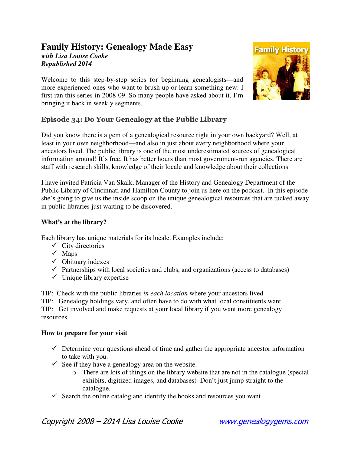## **Family History: Genealogy Made Easy**  *with Lisa Louise Cooke Republished 2014*

Welcome to this step-by-step series for beginning genealogists—and more experienced ones who want to brush up or learn something new. I first ran this series in 2008-09. So many people have asked about it, I'm bringing it back in weekly segments.



## Episode 34: Do Your Genealogy at the Public Library

Did you know there is a gem of a genealogical resource right in your own backyard? Well, at least in your own neighborhood—and also in just about every neighborhood where your ancestors lived. The public library is one of the most underestimated sources of genealogical information around! It's free. It has better hours than most government-run agencies. There are staff with research skills, knowledge of their locale and knowledge about their collections.

I have invited Patricia Van Skaik, Manager of the History and Genealogy Department of the Public Library of Cincinnati and Hamilton County to join us here on the podcast. In this episode she's going to give us the inside scoop on the unique genealogical resources that are tucked away in public libraries just waiting to be discovered.

#### **What's at the library?**

Each library has unique materials for its locale. Examples include:

- $\checkmark$  City directories
- $\checkmark$  Maps
- $\checkmark$  Obituary indexes
- $\checkmark$  Partnerships with local societies and clubs, and organizations (access to databases)
- $\checkmark$  Unique library expertise

TIP: Check with the public libraries *in each location* where your ancestors lived

TIP: Genealogy holdings vary, and often have to do with what local constituents want.

TIP: Get involved and make requests at your local library if you want more genealogy resources.

#### **How to prepare for your visit**

- $\checkmark$  Determine your questions ahead of time and gather the appropriate ancestor information to take with you.
- $\checkmark$  See if they have a genealogy area on the website.
	- o There are lots of things on the library website that are not in the catalogue (special exhibits, digitized images, and databases) Don't just jump straight to the catalogue.
- $\checkmark$  Search the online catalog and identify the books and resources you want

Copyright 2008 – 2014 Lisa Louise Cooke www.genealogygems.com